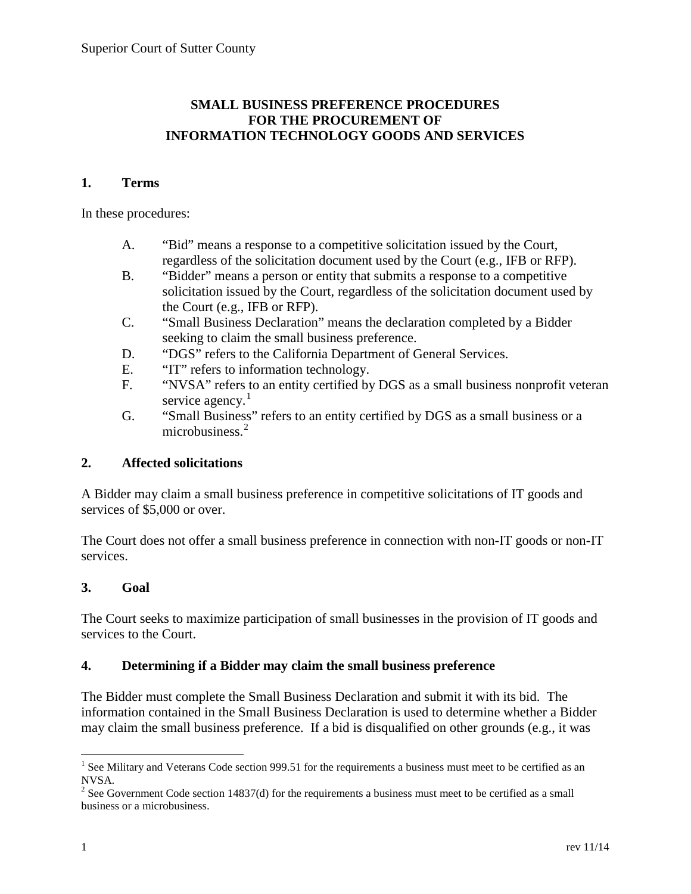# **SMALL BUSINESS PREFERENCE PROCEDURES FOR THE PROCUREMENT OF INFORMATION TECHNOLOGY GOODS AND SERVICES**

#### **1. Terms**

In these procedures:

- A. "Bid" means a response to a competitive solicitation issued by the Court, regardless of the solicitation document used by the Court (e.g., IFB or RFP).
- B. "Bidder" means a person or entity that submits a response to a competitive solicitation issued by the Court, regardless of the solicitation document used by the Court (e.g., IFB or RFP).
- C. "Small Business Declaration" means the declaration completed by a Bidder seeking to claim the small business preference.
- D. "DGS" refers to the California Department of General Services.
- E. "IT" refers to information technology.
- F. "NVSA" refers to an entity certified by DGS as a small business nonprofit veteran service agency.<sup>[1](#page-0-0)</sup>
- G. "Small Business" refers to an entity certified by DGS as a small business or a microbusiness.<sup>[2](#page-0-1)</sup>

## **2. Affected solicitations**

A Bidder may claim a small business preference in competitive solicitations of IT goods and services of \$5,000 or over.

The Court does not offer a small business preference in connection with non-IT goods or non-IT services.

## **3. Goal**

The Court seeks to maximize participation of small businesses in the provision of IT goods and services to the Court.

## **4. Determining if a Bidder may claim the small business preference**

The Bidder must complete the Small Business Declaration and submit it with its bid. The information contained in the Small Business Declaration is used to determine whether a Bidder may claim the small business preference. If a bid is disqualified on other grounds (e.g., it was

<span id="page-0-0"></span><sup>&</sup>lt;sup>1</sup> See Military and Veterans Code section 999.51 for the requirements a business must meet to be certified as an NVSA.

<span id="page-0-1"></span><sup>&</sup>lt;sup>2</sup> See Government Code section 14837(d) for the requirements a business must meet to be certified as a small business or a microbusiness.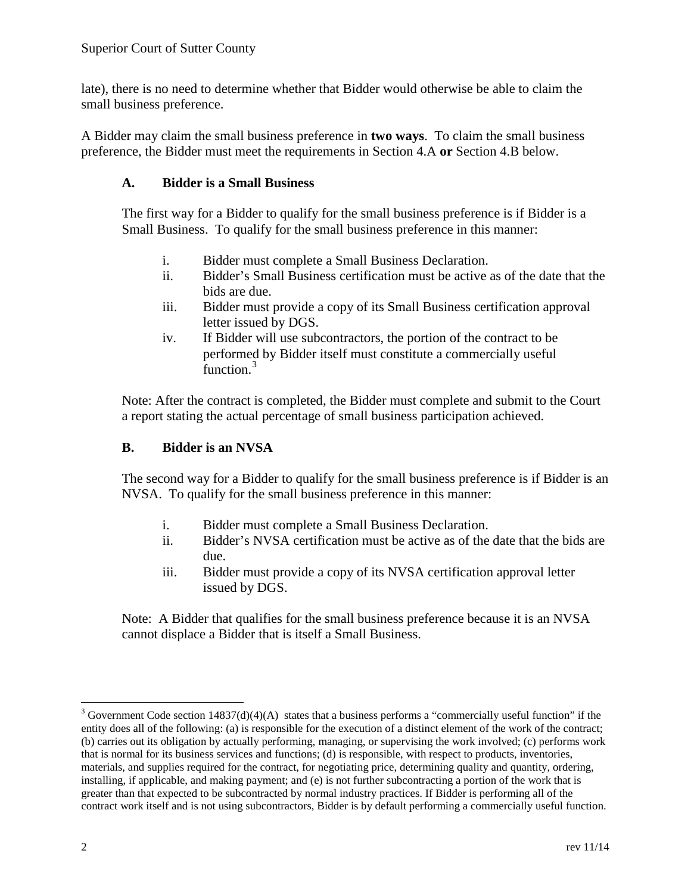late), there is no need to determine whether that Bidder would otherwise be able to claim the small business preference.

A Bidder may claim the small business preference in **two ways**. To claim the small business preference, the Bidder must meet the requirements in Section 4.A **or** Section 4.B below.

## **A. Bidder is a Small Business**

The first way for a Bidder to qualify for the small business preference is if Bidder is a Small Business. To qualify for the small business preference in this manner:

- i. Bidder must complete a Small Business Declaration.
- ii. Bidder's Small Business certification must be active as of the date that the bids are due.
- iii. Bidder must provide a copy of its Small Business certification approval letter issued by DGS.
- iv. If Bidder will use subcontractors, the portion of the contract to be performed by Bidder itself must constitute a commercially useful function.<sup>[3](#page-1-0)</sup>

Note: After the contract is completed, the Bidder must complete and submit to the Court a report stating the actual percentage of small business participation achieved.

# **B. Bidder is an NVSA**

The second way for a Bidder to qualify for the small business preference is if Bidder is an NVSA. To qualify for the small business preference in this manner:

- i. Bidder must complete a Small Business Declaration.
- ii. Bidder's NVSA certification must be active as of the date that the bids are due.
- iii. Bidder must provide a copy of its NVSA certification approval letter issued by DGS.

Note: A Bidder that qualifies for the small business preference because it is an NVSA cannot displace a Bidder that is itself a Small Business.

<span id="page-1-0"></span> $3$  Government Code section 14837(d)(4)(A) states that a business performs a "commercially useful function" if the entity does all of the following: (a) is responsible for the execution of a distinct element of the work of the contract; (b) carries out its obligation by actually performing, managing, or supervising the work involved; (c) performs work that is normal for its business services and functions; (d) is responsible, with respect to products, inventories, materials, and supplies required for the contract, for negotiating price, determining quality and quantity, ordering, installing, if applicable, and making payment; and (e) is not further subcontracting a portion of the work that is greater than that expected to be subcontracted by normal industry practices. If Bidder is performing all of the contract work itself and is not using subcontractors, Bidder is by default performing a commercially useful function.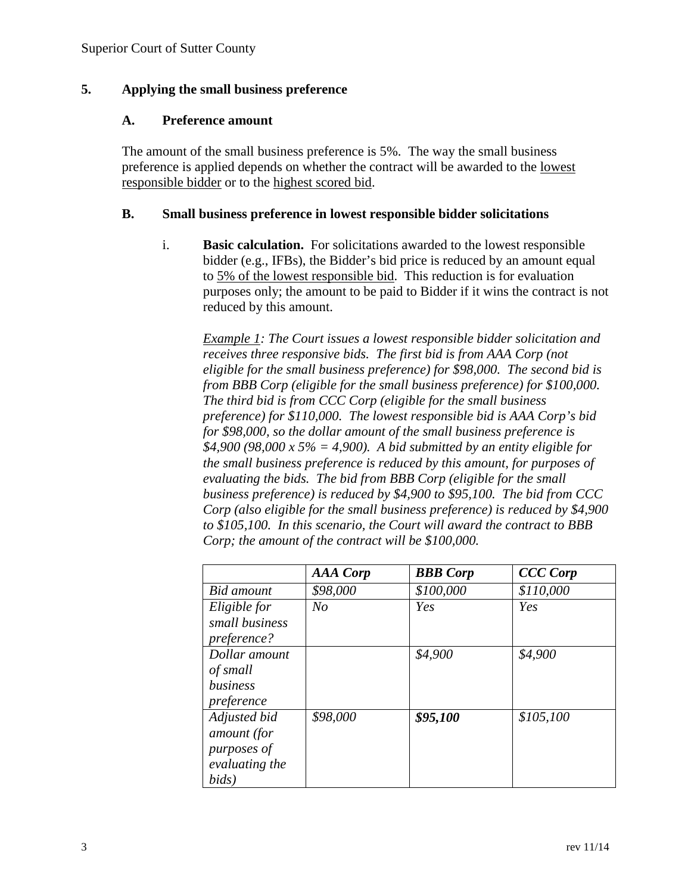## **5. Applying the small business preference**

#### **A. Preference amount**

The amount of the small business preference is 5%. The way the small business preference is applied depends on whether the contract will be awarded to the lowest responsible bidder or to the highest scored bid.

#### **B. Small business preference in lowest responsible bidder solicitations**

i. **Basic calculation.** For solicitations awarded to the lowest responsible bidder (e.g., IFBs), the Bidder's bid price is reduced by an amount equal to 5% of the lowest responsible bid. This reduction is for evaluation purposes only; the amount to be paid to Bidder if it wins the contract is not reduced by this amount.

*Example 1: The Court issues a lowest responsible bidder solicitation and receives three responsive bids. The first bid is from AAA Corp (not eligible for the small business preference) for \$98,000. The second bid is from BBB Corp (eligible for the small business preference) for \$100,000. The third bid is from CCC Corp (eligible for the small business preference) for \$110,000. The lowest responsible bid is AAA Corp's bid for \$98,000, so the dollar amount of the small business preference is \$4,900 (98,000 x 5% = 4,900). A bid submitted by an entity eligible for the small business preference is reduced by this amount, for purposes of evaluating the bids. The bid from BBB Corp (eligible for the small business preference) is reduced by \$4,900 to \$95,100. The bid from CCC Corp (also eligible for the small business preference) is reduced by \$4,900 to \$105,100. In this scenario, the Court will award the contract to BBB Corp; the amount of the contract will be \$100,000.*

|                | <b>AAA</b> Corp | <b>BBB</b> Corp | <b>CCC Corp</b> |
|----------------|-----------------|-----------------|-----------------|
| Bid amount     | \$98,000        | \$100,000       | \$110,000       |
| Eligible for   | N <sub>O</sub>  | Yes             | Yes             |
| small business |                 |                 |                 |
| preference?    |                 |                 |                 |
| Dollar amount  |                 | \$4,900         | \$4,900         |
| of small       |                 |                 |                 |
| business       |                 |                 |                 |
| preference     |                 |                 |                 |
| Adjusted bid   | \$98,000        | \$95,100        | \$105,100       |
| amount (for    |                 |                 |                 |
| purposes of    |                 |                 |                 |
| evaluating the |                 |                 |                 |
| bids)          |                 |                 |                 |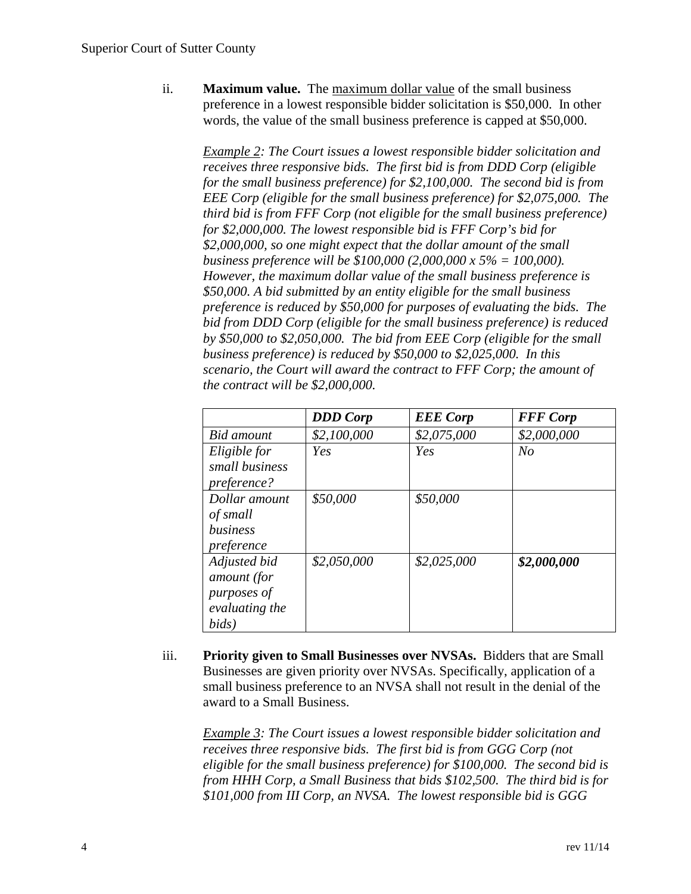ii. **Maximum value.** The maximum dollar value of the small business preference in a lowest responsible bidder solicitation is \$50,000. In other words, the value of the small business preference is capped at \$50,000.

*Example 2: The Court issues a lowest responsible bidder solicitation and receives three responsive bids. The first bid is from DDD Corp (eligible for the small business preference) for \$2,100,000. The second bid is from EEE Corp (eligible for the small business preference) for \$2,075,000. The third bid is from FFF Corp (not eligible for the small business preference) for \$2,000,000. The lowest responsible bid is FFF Corp's bid for \$2,000,000, so one might expect that the dollar amount of the small business preference will be \$100,000 (2,000,000 x 5% = 100,000). However, the maximum dollar value of the small business preference is \$50,000. A bid submitted by an entity eligible for the small business preference is reduced by \$50,000 for purposes of evaluating the bids. The bid from DDD Corp (eligible for the small business preference) is reduced by \$50,000 to \$2,050,000. The bid from EEE Corp (eligible for the small business preference) is reduced by \$50,000 to \$2,025,000. In this scenario, the Court will award the contract to FFF Corp; the amount of the contract will be \$2,000,000.*

|                | <b>DDD</b> Corp | <b>EEE</b> Corp | <b>FFF</b> Corp |
|----------------|-----------------|-----------------|-----------------|
| Bid amount     | \$2,100,000     | \$2,075,000     | \$2,000,000     |
| Eligible for   | Yes             | Yes             | $N_{O}$         |
| small business |                 |                 |                 |
| preference?    |                 |                 |                 |
| Dollar amount  | \$50,000        | \$50,000        |                 |
| of small       |                 |                 |                 |
| business       |                 |                 |                 |
| preference     |                 |                 |                 |
| Adjusted bid   | \$2,050,000     | \$2,025,000     | \$2,000,000     |
| amount (for    |                 |                 |                 |
| purposes of    |                 |                 |                 |
| evaluating the |                 |                 |                 |
| bids)          |                 |                 |                 |

iii. **Priority given to Small Businesses over NVSAs.** Bidders that are Small Businesses are given priority over NVSAs. Specifically, application of a small business preference to an NVSA shall not result in the denial of the award to a Small Business.

*Example 3: The Court issues a lowest responsible bidder solicitation and receives three responsive bids. The first bid is from GGG Corp (not eligible for the small business preference) for \$100,000. The second bid is from HHH Corp, a Small Business that bids \$102,500. The third bid is for \$101,000 from III Corp, an NVSA. The lowest responsible bid is GGG*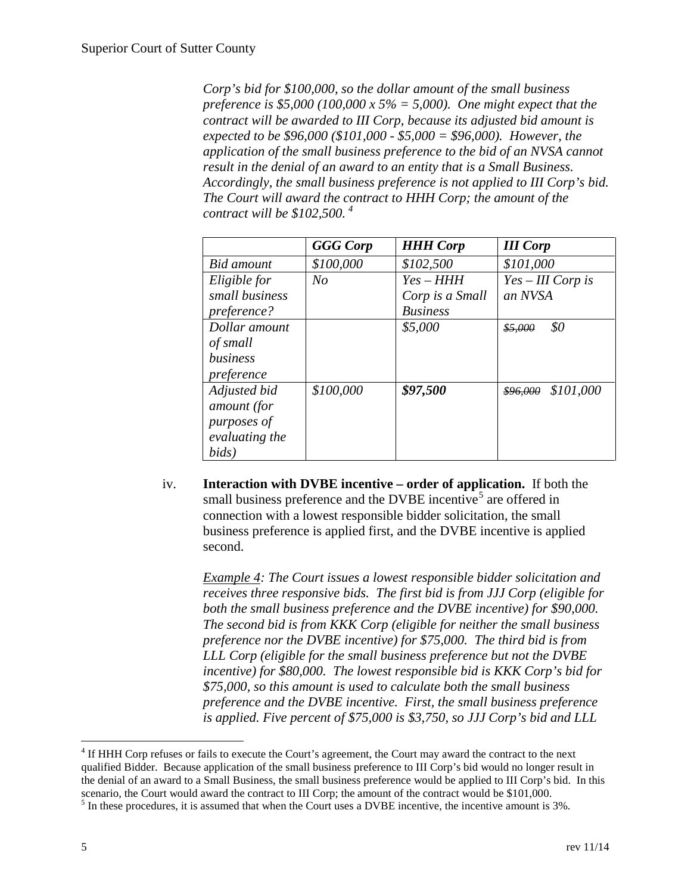*Corp's bid for \$100,000, so the dollar amount of the small business preference is \$5,000 (100,000 x 5% = 5,000). One might expect that the contract will be awarded to III Corp, because its adjusted bid amount is expected to be \$96,000 (\$101,000 - \$5,000 = \$96,000). However, the application of the small business preference to the bid of an NVSA cannot result in the denial of an award to an entity that is a Small Business. Accordingly, the small business preference is not applied to III Corp's bid. The Court will award the contract to HHH Corp; the amount of the contract will be \$102,500. [4](#page-4-0)*

|                | <b>GGG</b> Corp | <b>HHH Corp</b> | <b>III</b> Corp       |
|----------------|-----------------|-----------------|-----------------------|
| Bid amount     | \$100,000       | \$102,500       | \$101,000             |
| Eligible for   | N <sub>o</sub>  | $Yes-HHH$       | $Yes-III$ Corp is     |
| small business |                 | Corp is a Small | an NVSA               |
| preference?    |                 | <b>Business</b> |                       |
| Dollar amount  |                 | \$5,000         | \$0<br>\$5,000        |
| of small       |                 |                 |                       |
| business       |                 |                 |                       |
| preference     |                 |                 |                       |
| Adjusted bid   | \$100,000       | \$97,500        | \$101,000<br>\$96,000 |
| amount (for    |                 |                 |                       |
| purposes of    |                 |                 |                       |
| evaluating the |                 |                 |                       |
| bids)          |                 |                 |                       |

iv. **Interaction with DVBE incentive – order of application.** If both the small business preference and the DVBE incentive<sup>[5](#page-4-1)</sup> are offered in connection with a lowest responsible bidder solicitation, the small business preference is applied first, and the DVBE incentive is applied second.

*Example 4: The Court issues a lowest responsible bidder solicitation and receives three responsive bids. The first bid is from JJJ Corp (eligible for both the small business preference and the DVBE incentive) for \$90,000. The second bid is from KKK Corp (eligible for neither the small business preference nor the DVBE incentive) for \$75,000. The third bid is from LLL Corp (eligible for the small business preference but not the DVBE incentive) for \$80,000. The lowest responsible bid is KKK Corp's bid for \$75,000, so this amount is used to calculate both the small business preference and the DVBE incentive. First, the small business preference is applied. Five percent of \$75,000 is \$3,750, so JJJ Corp's bid and LLL*

<span id="page-4-0"></span><sup>&</sup>lt;sup>4</sup> If HHH Corp refuses or fails to execute the Court's agreement, the Court may award the contract to the next qualified Bidder. Because application of the small business preference to III Corp's bid would no longer result in the denial of an award to a Small Business, the small business preference would be applied to III Corp's bid. In this scenario, the Court would award the contract to III Corp; the amount of the contract would be \$101,000.

<span id="page-4-1"></span> $<sup>5</sup>$  In these procedures, it is assumed that when the Court uses a DVBE incentive, the incentive amount is 3%.</sup>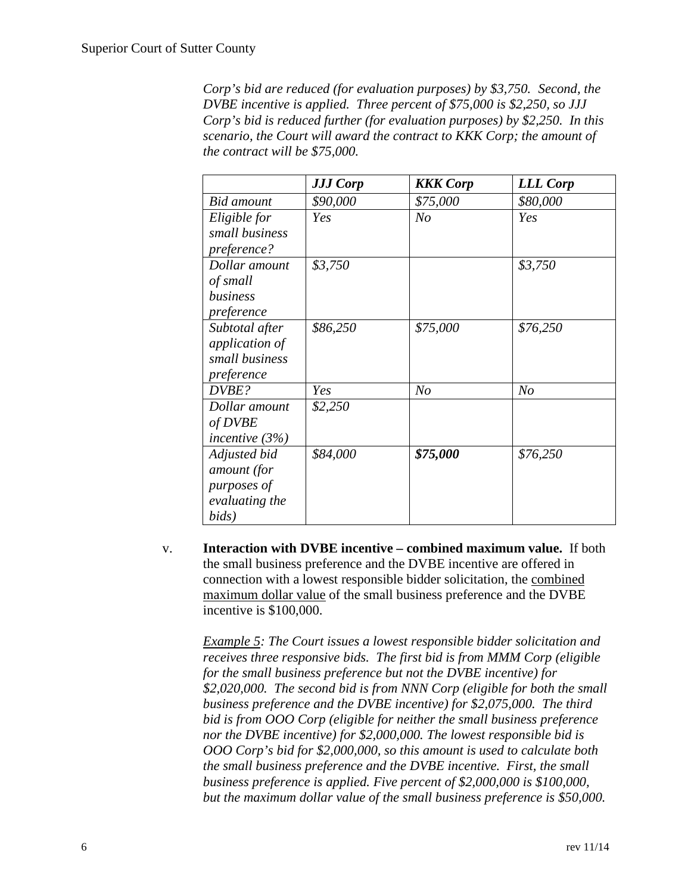*Corp's bid are reduced (for evaluation purposes) by \$3,750. Second, the DVBE incentive is applied. Three percent of \$75,000 is \$2,250, so JJJ Corp's bid is reduced further (for evaluation purposes) by \$2,250. In this scenario, the Court will award the contract to KKK Corp; the amount of the contract will be \$75,000.*

|                   | <b>JJJ Corp</b> | <b>KKK</b> Corp | <b>LLL Corp</b> |
|-------------------|-----------------|-----------------|-----------------|
| <b>Bid</b> amount | \$90,000        | \$75,000        | \$80,000        |
| Eligible for      | Yes             | No              | Yes             |
| small business    |                 |                 |                 |
| preference?       |                 |                 |                 |
| Dollar amount     | \$3,750         |                 | \$3,750         |
| of small          |                 |                 |                 |
| business          |                 |                 |                 |
| preference        |                 |                 |                 |
| Subtotal after    | \$86,250        | \$75,000        | \$76,250        |
| application of    |                 |                 |                 |
| small business    |                 |                 |                 |
| preference        |                 |                 |                 |
| DVBE?             | Yes             | N <sub>O</sub>  | N <sub>o</sub>  |
| Dollar amount     | \$2,250         |                 |                 |
| of DVBE           |                 |                 |                 |
| incentive $(3%)$  |                 |                 |                 |
| Adjusted bid      | \$84,000        | \$75,000        | \$76,250        |
| amount (for       |                 |                 |                 |
| purposes of       |                 |                 |                 |
| evaluating the    |                 |                 |                 |
| bids)             |                 |                 |                 |

v. **Interaction with DVBE incentive – combined maximum value.** If both the small business preference and the DVBE incentive are offered in connection with a lowest responsible bidder solicitation, the combined maximum dollar value of the small business preference and the DVBE incentive is \$100,000.

*Example 5: The Court issues a lowest responsible bidder solicitation and receives three responsive bids. The first bid is from MMM Corp (eligible for the small business preference but not the DVBE incentive) for \$2,020,000. The second bid is from NNN Corp (eligible for both the small business preference and the DVBE incentive) for \$2,075,000. The third bid is from OOO Corp (eligible for neither the small business preference nor the DVBE incentive) for \$2,000,000. The lowest responsible bid is OOO Corp's bid for \$2,000,000, so this amount is used to calculate both the small business preference and the DVBE incentive. First, the small business preference is applied. Five percent of \$2,000,000 is \$100,000, but the maximum dollar value of the small business preference is \$50,000.*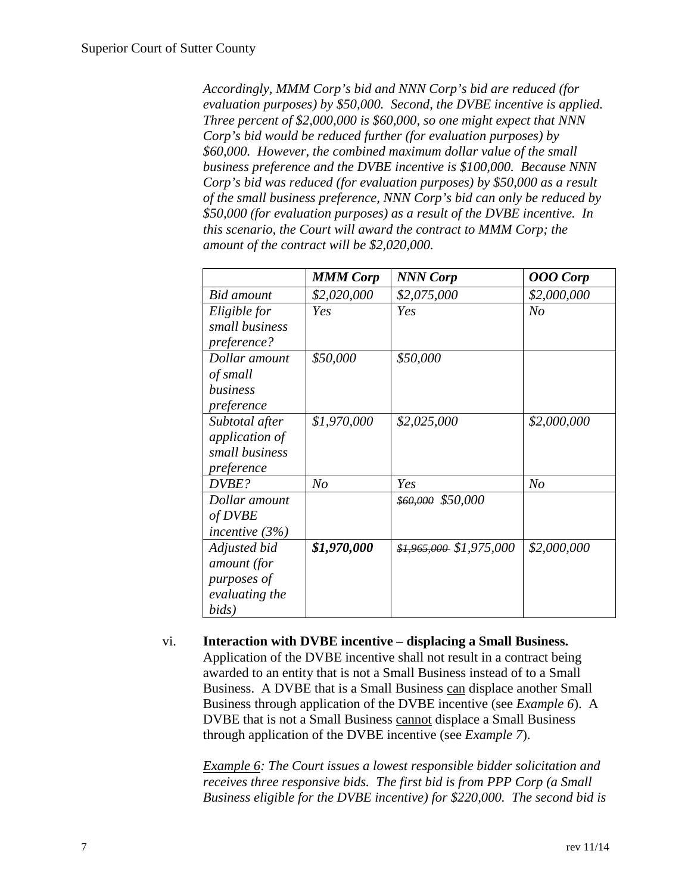*Accordingly, MMM Corp's bid and NNN Corp's bid are reduced (for evaluation purposes) by \$50,000. Second, the DVBE incentive is applied. Three percent of \$2,000,000 is \$60,000, so one might expect that NNN Corp's bid would be reduced further (for evaluation purposes) by \$60,000. However, the combined maximum dollar value of the small business preference and the DVBE incentive is \$100,000. Because NNN Corp's bid was reduced (for evaluation purposes) by \$50,000 as a result of the small business preference, NNN Corp's bid can only be reduced by \$50,000 (for evaluation purposes) as a result of the DVBE incentive. In this scenario, the Court will award the contract to MMM Corp; the amount of the contract will be \$2,020,000.*

|                       | <b>MMM Corp</b> | <b>NNN Corp</b>          | <b>OOO</b> Corp |
|-----------------------|-----------------|--------------------------|-----------------|
| Bid amount            | \$2,020,000     | \$2,075,000              | \$2,000,000     |
| Eligible for          | Yes             | Yes                      | $N_{O}$         |
| small business        |                 |                          |                 |
| preference?           |                 |                          |                 |
| Dollar amount         | \$50,000        | \$50,000                 |                 |
| of small              |                 |                          |                 |
| business              |                 |                          |                 |
| preference            |                 |                          |                 |
| Subtotal after        | \$1,970,000     | \$2,025,000              | \$2,000,000     |
| <i>application of</i> |                 |                          |                 |
| small business        |                 |                          |                 |
| preference            |                 |                          |                 |
| DVBE?                 | N <sub>o</sub>  | Yes                      | N <sub>o</sub>  |
| Dollar amount         |                 | \$60,000 \$50,000        |                 |
| of DVBE               |                 |                          |                 |
| incentive $(3%)$      |                 |                          |                 |
| Adjusted bid          | \$1,970,000     | $$1,965,000$ \$1,975,000 | \$2,000,000     |
| amount (for           |                 |                          |                 |
| purposes of           |                 |                          |                 |
| evaluating the        |                 |                          |                 |
| bids)                 |                 |                          |                 |

vi. **Interaction with DVBE incentive – displacing a Small Business.**  Application of the DVBE incentive shall not result in a contract being awarded to an entity that is not a Small Business instead of to a Small Business. A DVBE that is a Small Business can displace another Small Business through application of the DVBE incentive (see *Example 6*). A DVBE that is not a Small Business cannot displace a Small Business through application of the DVBE incentive (see *Example 7*).

*Example 6: The Court issues a lowest responsible bidder solicitation and receives three responsive bids. The first bid is from PPP Corp (a Small Business eligible for the DVBE incentive) for \$220,000. The second bid is*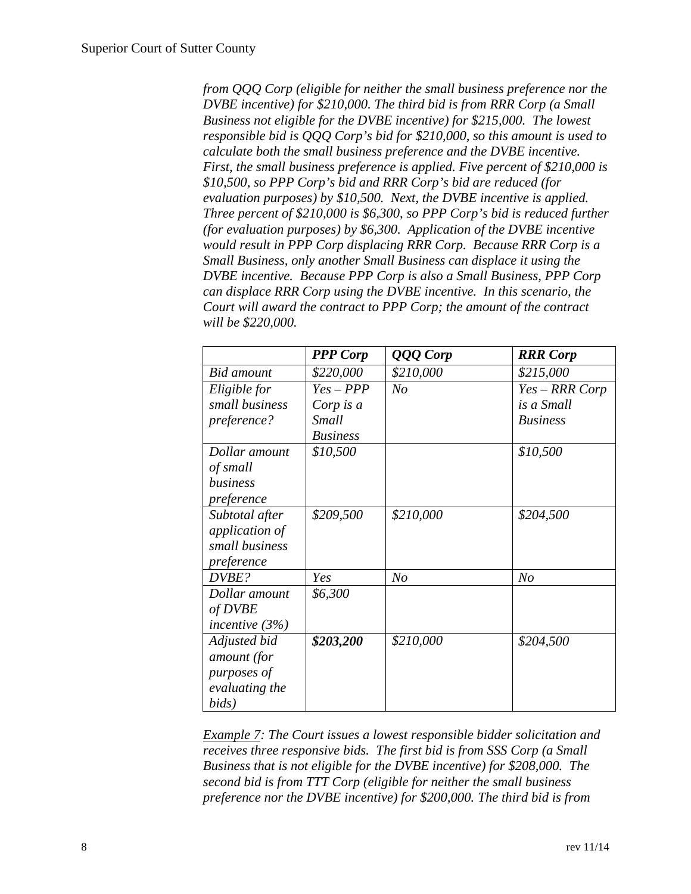*from QQQ Corp (eligible for neither the small business preference nor the DVBE incentive) for \$210,000. The third bid is from RRR Corp (a Small Business not eligible for the DVBE incentive) for \$215,000. The lowest responsible bid is QQQ Corp's bid for \$210,000, so this amount is used to calculate both the small business preference and the DVBE incentive. First, the small business preference is applied. Five percent of \$210,000 is \$10,500, so PPP Corp's bid and RRR Corp's bid are reduced (for evaluation purposes) by \$10,500. Next, the DVBE incentive is applied. Three percent of \$210,000 is \$6,300, so PPP Corp's bid is reduced further (for evaluation purposes) by \$6,300. Application of the DVBE incentive would result in PPP Corp displacing RRR Corp. Because RRR Corp is a Small Business, only another Small Business can displace it using the DVBE incentive. Because PPP Corp is also a Small Business, PPP Corp can displace RRR Corp using the DVBE incentive. In this scenario, the Court will award the contract to PPP Corp; the amount of the contract will be \$220,000.*

|                       | <b>PPP</b> Corp | QQQ Corp       | <b>RRR</b> Corp |
|-----------------------|-----------------|----------------|-----------------|
| <b>Bid</b> amount     | \$220,000       | \$210,000      | \$215,000       |
| Eligible for          | $Yes - PPP$     | N <sub>O</sub> | Yes – RRR Corp  |
| small business        | Corp is a       |                | is a Small      |
| preference?           | <b>Small</b>    |                | <b>Business</b> |
|                       | <b>Business</b> |                |                 |
| Dollar amount         | \$10,500        |                | \$10,500        |
| of small              |                 |                |                 |
| business              |                 |                |                 |
| preference            |                 |                |                 |
| Subtotal after        | \$209,500       | \$210,000      | \$204,500       |
| <i>application of</i> |                 |                |                 |
| small business        |                 |                |                 |
| preference            |                 |                |                 |
| DVBE?                 | Yes             | N <sub>O</sub> | N <sub>o</sub>  |
| Dollar amount         | \$6,300         |                |                 |
| of DVBE               |                 |                |                 |
| incentive $(3%)$      |                 |                |                 |
| Adjusted bid          | \$203,200       | \$210,000      | \$204,500       |
| amount (for           |                 |                |                 |
| purposes of           |                 |                |                 |
| evaluating the        |                 |                |                 |
| bids)                 |                 |                |                 |

*Example 7: The Court issues a lowest responsible bidder solicitation and receives three responsive bids. The first bid is from SSS Corp (a Small Business that is not eligible for the DVBE incentive) for \$208,000. The second bid is from TTT Corp (eligible for neither the small business preference nor the DVBE incentive) for \$200,000. The third bid is from*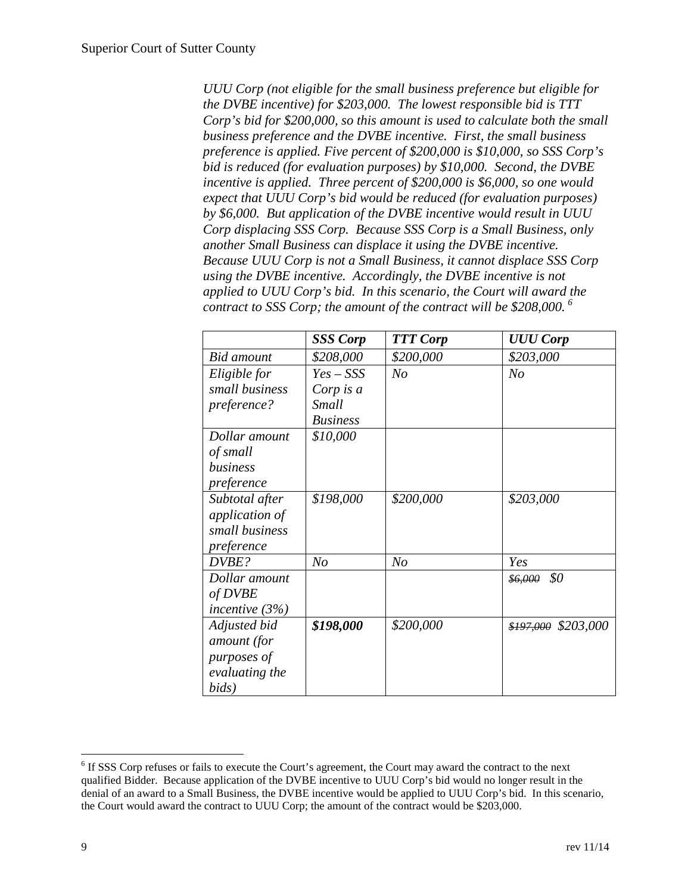*UUU Corp (not eligible for the small business preference but eligible for the DVBE incentive) for \$203,000. The lowest responsible bid is TTT Corp's bid for \$200,000, so this amount is used to calculate both the small business preference and the DVBE incentive. First, the small business preference is applied. Five percent of \$200,000 is \$10,000, so SSS Corp's bid is reduced (for evaluation purposes) by \$10,000. Second, the DVBE incentive is applied. Three percent of \$200,000 is \$6,000, so one would expect that UUU Corp's bid would be reduced (for evaluation purposes) by \$6,000. But application of the DVBE incentive would result in UUU Corp displacing SSS Corp. Because SSS Corp is a Small Business, only another Small Business can displace it using the DVBE incentive. Because UUU Corp is not a Small Business, it cannot displace SSS Corp using the DVBE incentive. Accordingly, the DVBE incentive is not applied to UUU Corp's bid. In this scenario, the Court will award the contract to SSS Corp; the amount of the contract will be \$208,000. [6](#page-8-0)*

|                       | <b>SSS Corp</b> | <b>TTT Corp</b> | <b>UUU Corp</b>     |
|-----------------------|-----------------|-----------------|---------------------|
| <b>Bid</b> amount     | \$208,000       | \$200,000       | \$203,000           |
| Eligible for          | $Yes - SSS$     | No              | N <sub>o</sub>      |
| small business        | Corp is $a$     |                 |                     |
| preference?           | <b>Small</b>    |                 |                     |
|                       | <b>Business</b> |                 |                     |
| Dollar amount         | \$10,000        |                 |                     |
| of small              |                 |                 |                     |
| business              |                 |                 |                     |
| preference            |                 |                 |                     |
| Subtotal after        | \$198,000       | \$200,000       | \$203,000           |
| <i>application of</i> |                 |                 |                     |
| small business        |                 |                 |                     |
| preference            |                 |                 |                     |
| DVBE?                 | N <sub>O</sub>  | N <sub>o</sub>  | Yes                 |
| Dollar amount         |                 |                 | \$0<br>\$6,000      |
| of DVBE               |                 |                 |                     |
| incentive $(3%)$      |                 |                 |                     |
| Adjusted bid          | \$198,000       | \$200,000       | \$197,000 \$203,000 |
| amount (for           |                 |                 |                     |
| purposes of           |                 |                 |                     |
| evaluating the        |                 |                 |                     |
| bids)                 |                 |                 |                     |

<span id="page-8-0"></span> <sup>6</sup> If SSS Corp refuses or fails to execute the Court's agreement, the Court may award the contract to the next qualified Bidder. Because application of the DVBE incentive to UUU Corp's bid would no longer result in the denial of an award to a Small Business, the DVBE incentive would be applied to UUU Corp's bid. In this scenario, the Court would award the contract to UUU Corp; the amount of the contract would be \$203,000.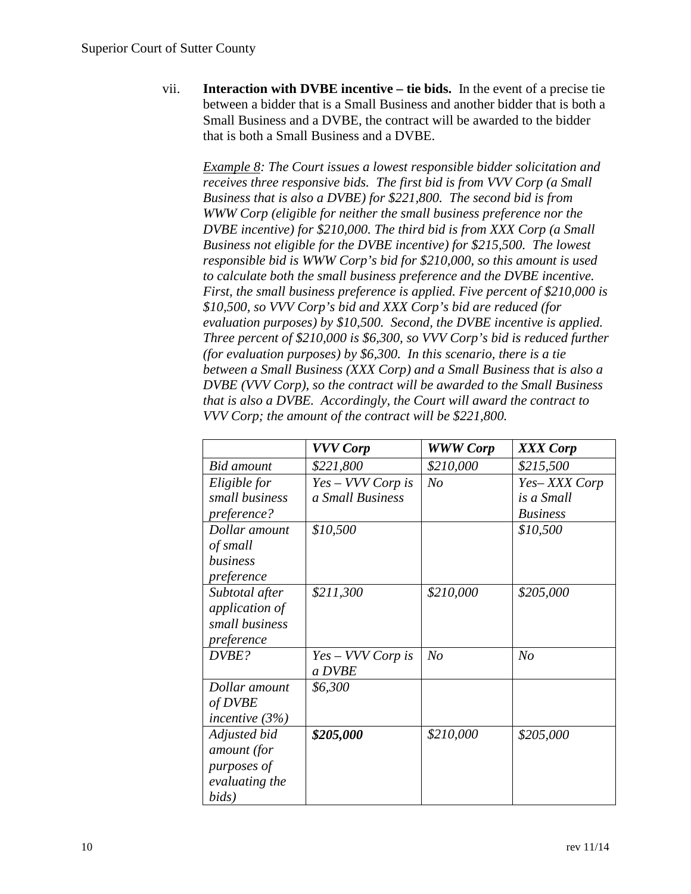vii. **Interaction with DVBE incentive – tie bids.** In the event of a precise tie between a bidder that is a Small Business and another bidder that is both a Small Business and a DVBE, the contract will be awarded to the bidder that is both a Small Business and a DVBE.

*Example 8: The Court issues a lowest responsible bidder solicitation and receives three responsive bids. The first bid is from VVV Corp (a Small Business that is also a DVBE) for \$221,800. The second bid is from WWW Corp (eligible for neither the small business preference nor the DVBE incentive) for \$210,000. The third bid is from XXX Corp (a Small Business not eligible for the DVBE incentive) for \$215,500. The lowest responsible bid is WWW Corp's bid for \$210,000, so this amount is used to calculate both the small business preference and the DVBE incentive. First, the small business preference is applied. Five percent of \$210,000 is \$10,500, so VVV Corp's bid and XXX Corp's bid are reduced (for evaluation purposes) by \$10,500. Second, the DVBE incentive is applied. Three percent of \$210,000 is \$6,300, so VVV Corp's bid is reduced further (for evaluation purposes) by \$6,300. In this scenario, there is a tie between a Small Business (XXX Corp) and a Small Business that is also a DVBE (VVV Corp), so the contract will be awarded to the Small Business that is also a DVBE. Accordingly, the Court will award the contract to VVV Corp; the amount of the contract will be \$221,800.*

|                  | <b>VVV Corp</b>     | <b>WWW Corp</b> | XXX Corp        |
|------------------|---------------------|-----------------|-----------------|
| Bid amount       | \$221,800           | \$210,000       | \$215,500       |
| Eligible for     | Yes – VVV Corp is   | N <sub>o</sub>  | Yes-XXX Corp    |
| small business   | a Small Business    |                 | is a Small      |
| preference?      |                     |                 | <b>Business</b> |
| Dollar amount    | \$10,500            |                 | \$10,500        |
| of small         |                     |                 |                 |
| business         |                     |                 |                 |
| preference       |                     |                 |                 |
| Subtotal after   | \$211,300           | \$210,000       | \$205,000       |
| application of   |                     |                 |                 |
| small business   |                     |                 |                 |
| preference       |                     |                 |                 |
| DVBE?            | $Yes - VVV$ Corp is | N <sub>o</sub>  | N <sub>o</sub>  |
|                  | a DVBE              |                 |                 |
| Dollar amount    | \$6,300             |                 |                 |
| of DVBE          |                     |                 |                 |
| incentive $(3%)$ |                     |                 |                 |
| Adjusted bid     | \$205,000           | \$210,000       | \$205,000       |
| amount (for      |                     |                 |                 |
| purposes of      |                     |                 |                 |
| evaluating the   |                     |                 |                 |
| bids)            |                     |                 |                 |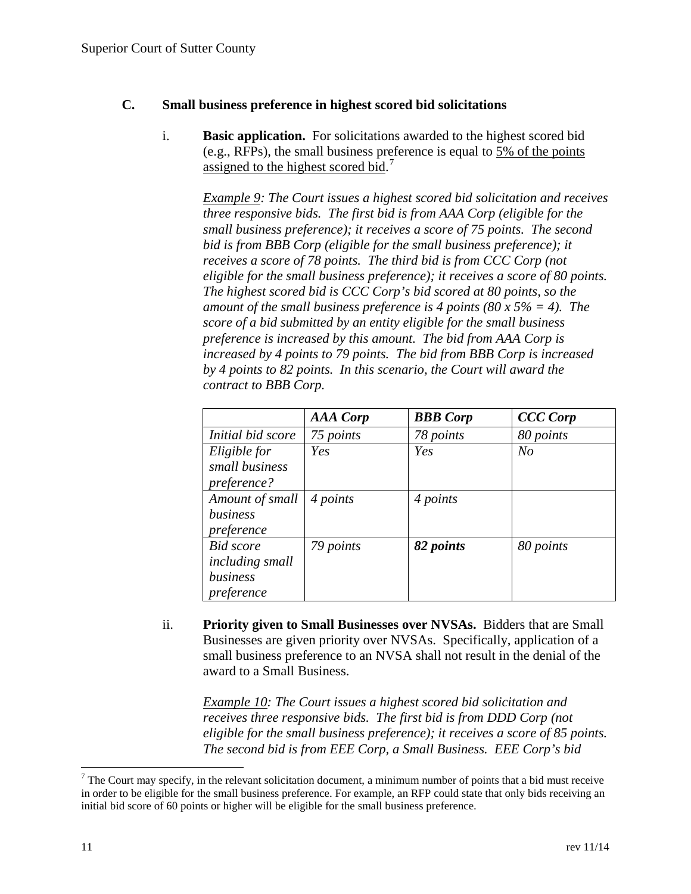## **C. Small business preference in highest scored bid solicitations**

i. **Basic application.** For solicitations awarded to the highest scored bid (e.g., RFPs), the small business preference is equal to 5% of the points assigned to the highest scored bid.<sup>[7](#page-10-0)</sup>

*Example 9: The Court issues a highest scored bid solicitation and receives three responsive bids. The first bid is from AAA Corp (eligible for the small business preference); it receives a score of 75 points. The second bid is from BBB Corp (eligible for the small business preference); it receives a score of 78 points. The third bid is from CCC Corp (not eligible for the small business preference); it receives a score of 80 points. The highest scored bid is CCC Corp's bid scored at 80 points, so the amount of the small business preference is 4 points (80 x 5% = 4). The score of a bid submitted by an entity eligible for the small business preference is increased by this amount. The bid from AAA Corp is increased by 4 points to 79 points. The bid from BBB Corp is increased by 4 points to 82 points. In this scenario, the Court will award the contract to BBB Corp.*

|                   | <b>AAA</b> Corp | <b>BBB</b> Corp | <b>CCC Corp</b> |
|-------------------|-----------------|-----------------|-----------------|
| Initial bid score | 75 points       | 78 points       | 80 points       |
| Eligible for      | Yes             | Yes             | N <sub>o</sub>  |
| small business    |                 |                 |                 |
| preference?       |                 |                 |                 |
| Amount of small   | 4 points        | 4 points        |                 |
| business          |                 |                 |                 |
| preference        |                 |                 |                 |
| <b>Bid</b> score  | 79 points       | 82 points       | 80 points       |
| including small   |                 |                 |                 |
| business          |                 |                 |                 |
| preference        |                 |                 |                 |

ii. **Priority given to Small Businesses over NVSAs.** Bidders that are Small Businesses are given priority over NVSAs. Specifically, application of a small business preference to an NVSA shall not result in the denial of the award to a Small Business.

*Example 10: The Court issues a highest scored bid solicitation and receives three responsive bids. The first bid is from DDD Corp (not eligible for the small business preference); it receives a score of 85 points. The second bid is from EEE Corp, a Small Business. EEE Corp's bid* 

<span id="page-10-0"></span> $<sup>7</sup>$  The Court may specify, in the relevant solicitation document, a minimum number of points that a bid must receive</sup> in order to be eligible for the small business preference. For example, an RFP could state that only bids receiving an initial bid score of 60 points or higher will be eligible for the small business preference.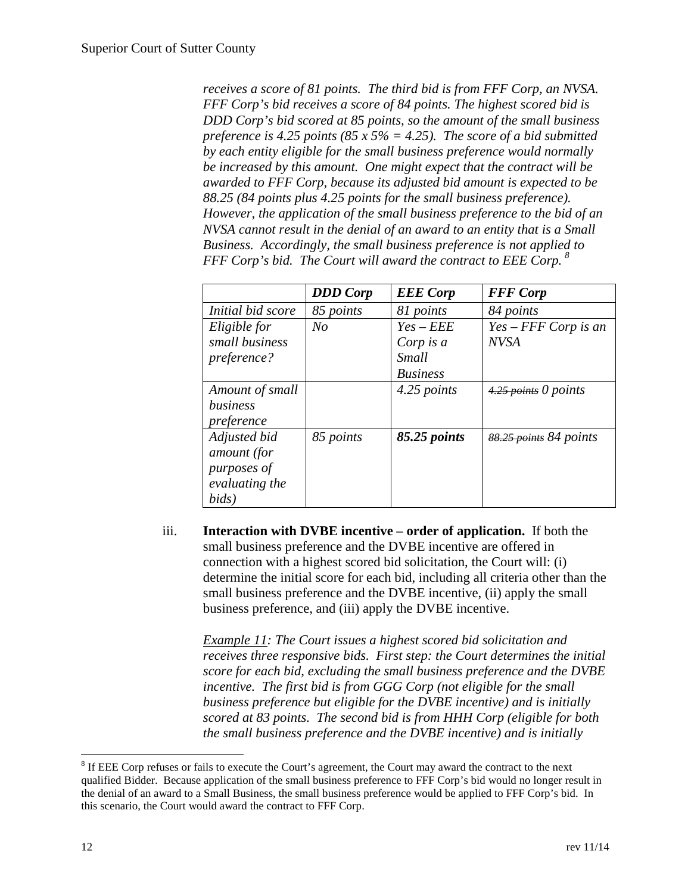*receives a score of 81 points. The third bid is from FFF Corp, an NVSA. FFF Corp's bid receives a score of 84 points. The highest scored bid is DDD Corp's bid scored at 85 points, so the amount of the small business preference is 4.25 points (85 x 5% = 4.25). The score of a bid submitted by each entity eligible for the small business preference would normally be increased by this amount. One might expect that the contract will be awarded to FFF Corp, because its adjusted bid amount is expected to be 88.25 (84 points plus 4.25 points for the small business preference). However, the application of the small business preference to the bid of an NVSA cannot result in the denial of an award to an entity that is a Small Business. Accordingly, the small business preference is not applied to FFF Corp's bid. The Court will award the contract to EEE Corp. [8](#page-11-0)*

|                   | <b>DDD</b> Corp | <b>EEE</b> Corp | <b>FFF</b> Corp        |
|-------------------|-----------------|-----------------|------------------------|
| Initial bid score | 85 points       | 81 points       | 84 points              |
| Eligible for      | N <sub>O</sub>  | $Yes - EEE$     | $Yes -FFF Corp$ is an  |
| small business    |                 | Corp is a       | <b>NVSA</b>            |
| preference?       |                 | Small           |                        |
|                   |                 | <b>Business</b> |                        |
| Amount of small   |                 | 4.25 points     | $4.25$ points 0 points |
| business          |                 |                 |                        |
| preference        |                 |                 |                        |
| Adjusted bid      | 85 points       | 85.25 points    | 88.25 points 84 points |
| amount (for       |                 |                 |                        |
| purposes of       |                 |                 |                        |
| evaluating the    |                 |                 |                        |
| bids)             |                 |                 |                        |

iii. **Interaction with DVBE incentive – order of application.** If both the small business preference and the DVBE incentive are offered in connection with a highest scored bid solicitation, the Court will: (i) determine the initial score for each bid, including all criteria other than the small business preference and the DVBE incentive, (ii) apply the small business preference, and (iii) apply the DVBE incentive.

*Example 11: The Court issues a highest scored bid solicitation and receives three responsive bids. First step: the Court determines the initial score for each bid, excluding the small business preference and the DVBE incentive. The first bid is from GGG Corp (not eligible for the small business preference but eligible for the DVBE incentive) and is initially scored at 83 points. The second bid is from HHH Corp (eligible for both the small business preference and the DVBE incentive) and is initially* 

<span id="page-11-0"></span><sup>&</sup>lt;sup>8</sup> If EEE Corp refuses or fails to execute the Court's agreement, the Court may award the contract to the next qualified Bidder. Because application of the small business preference to FFF Corp's bid would no longer result in the denial of an award to a Small Business, the small business preference would be applied to FFF Corp's bid. In this scenario, the Court would award the contract to FFF Corp.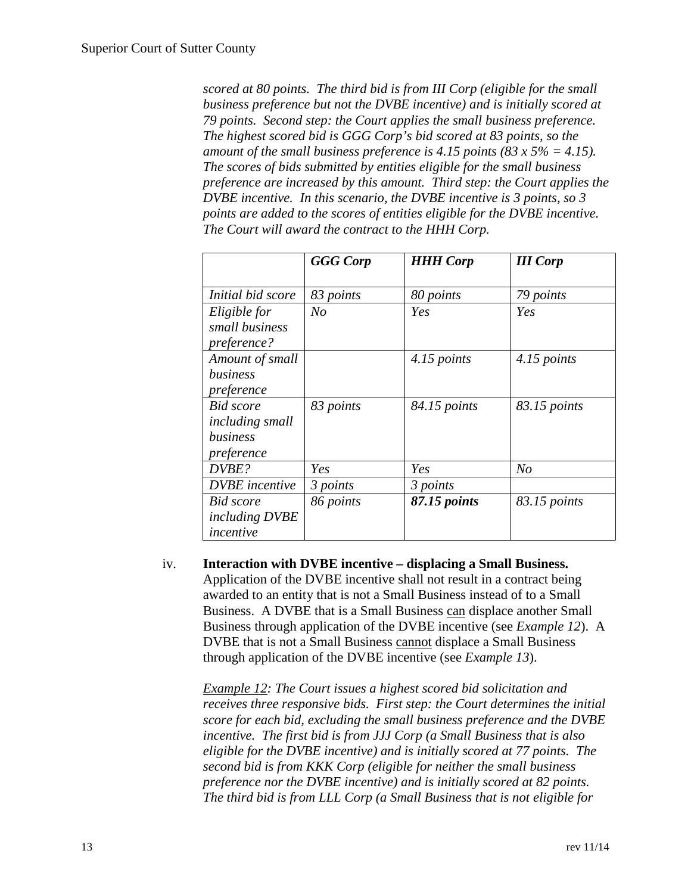*scored at 80 points. The third bid is from III Corp (eligible for the small business preference but not the DVBE incentive) and is initially scored at 79 points. Second step: the Court applies the small business preference. The highest scored bid is GGG Corp's bid scored at 83 points, so the amount of the small business preference is 4.15 points (83 x 5% = 4.15). The scores of bids submitted by entities eligible for the small business preference are increased by this amount. Third step: the Court applies the DVBE incentive. In this scenario, the DVBE incentive is 3 points, so 3 points are added to the scores of entities eligible for the DVBE incentive. The Court will award the contract to the HHH Corp.*

|                                | <b>GGG</b> Corp | <b>HHH Corp</b> | <b>III</b> Corp |
|--------------------------------|-----------------|-----------------|-----------------|
| Initial bid score              | 83 points       | 80 points       | 79 points       |
| Eligible for                   | No              | Yes             | Yes             |
| small business                 |                 |                 |                 |
| preference?<br>Amount of small |                 | 4.15 points     | 4.15 points     |
| business                       |                 |                 |                 |
| preference<br><b>Bid</b> score | 83 points       | 84.15 points    | 83.15 points    |
| including small                |                 |                 |                 |
| business<br>preference         |                 |                 |                 |
| DVBE?                          | Yes             | Yes             | No              |
| <b>DVBE</b> incentive          | 3 points        | 3 points        |                 |
| Bid score                      | 86 points       | 87.15 points    | 83.15 points    |
| <i>including DVBE</i>          |                 |                 |                 |
| incentive                      |                 |                 |                 |

iv. **Interaction with DVBE incentive – displacing a Small Business.**  Application of the DVBE incentive shall not result in a contract being awarded to an entity that is not a Small Business instead of to a Small Business. A DVBE that is a Small Business can displace another Small Business through application of the DVBE incentive (see *Example 12*). A DVBE that is not a Small Business cannot displace a Small Business through application of the DVBE incentive (see *Example 13*).

*Example 12: The Court issues a highest scored bid solicitation and receives three responsive bids. First step: the Court determines the initial score for each bid, excluding the small business preference and the DVBE incentive. The first bid is from JJJ Corp (a Small Business that is also eligible for the DVBE incentive) and is initially scored at 77 points. The second bid is from KKK Corp (eligible for neither the small business preference nor the DVBE incentive) and is initially scored at 82 points. The third bid is from LLL Corp (a Small Business that is not eligible for*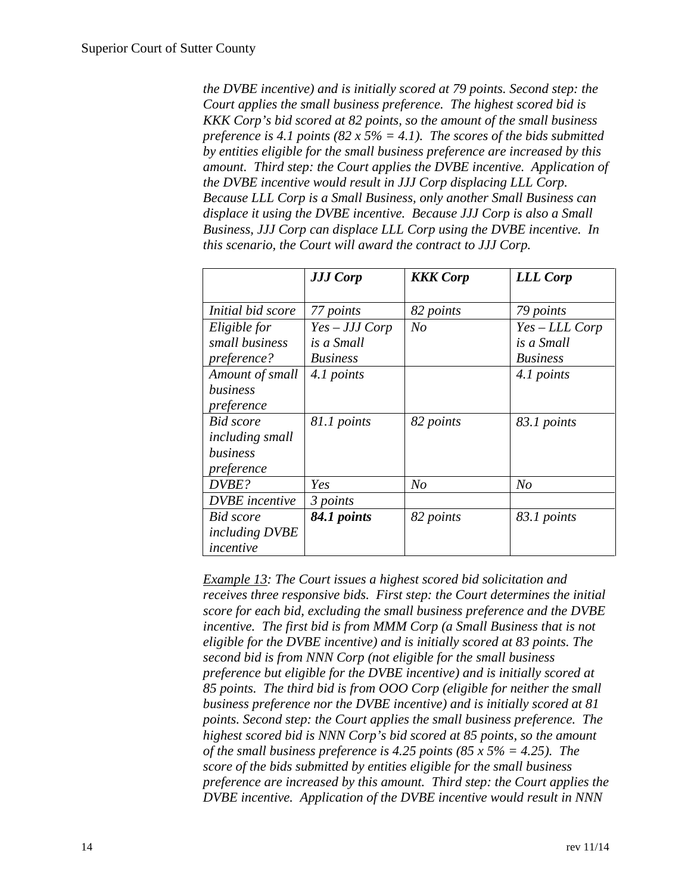*the DVBE incentive) and is initially scored at 79 points. Second step: the Court applies the small business preference. The highest scored bid is KKK Corp's bid scored at 82 points, so the amount of the small business preference is 4.1 points (82 x 5% = 4.1). The scores of the bids submitted by entities eligible for the small business preference are increased by this amount. Third step: the Court applies the DVBE incentive. Application of the DVBE incentive would result in JJJ Corp displacing LLL Corp. Because LLL Corp is a Small Business, only another Small Business can displace it using the DVBE incentive. Because JJJ Corp is also a Small Business, JJJ Corp can displace LLL Corp using the DVBE incentive. In this scenario, the Court will award the contract to JJJ Corp.*

|                       | <b>JJJ Corp</b> | <b>KKK</b> Corp | <b>LLL Corp</b> |
|-----------------------|-----------------|-----------------|-----------------|
|                       |                 |                 |                 |
| Initial bid score     | 77 points       | 82 points       | 79 points       |
| Eligible for          | $Yes-JJJ Corp$  | N <sub>o</sub>  | Yes – LLL Corp  |
| small business        | is a Small      |                 | is a Small      |
| preference?           | <b>Business</b> |                 | <b>Business</b> |
| Amount of small       | 4.1 points      |                 | 4.1 points      |
| business              |                 |                 |                 |
| preference            |                 |                 |                 |
| <b>Bid</b> score      | 81.1 points     | 82 points       | 83.1 points     |
| including small       |                 |                 |                 |
| business              |                 |                 |                 |
| preference            |                 |                 |                 |
| DVBE?                 | Yes             | No              | N <sub>O</sub>  |
| <b>DVBE</b> incentive | 3 points        |                 |                 |
| <b>Bid</b> score      | 84.1 points     | 82 points       | 83.1 points     |
| including DVBE        |                 |                 |                 |
| incentive             |                 |                 |                 |

*Example 13: The Court issues a highest scored bid solicitation and receives three responsive bids. First step: the Court determines the initial score for each bid, excluding the small business preference and the DVBE incentive. The first bid is from MMM Corp (a Small Business that is not eligible for the DVBE incentive) and is initially scored at 83 points. The second bid is from NNN Corp (not eligible for the small business preference but eligible for the DVBE incentive) and is initially scored at 85 points. The third bid is from OOO Corp (eligible for neither the small business preference nor the DVBE incentive) and is initially scored at 81 points. Second step: the Court applies the small business preference. The highest scored bid is NNN Corp's bid scored at 85 points, so the amount of the small business preference is 4.25 points (85 x 5% = 4.25). The score of the bids submitted by entities eligible for the small business preference are increased by this amount. Third step: the Court applies the DVBE incentive. Application of the DVBE incentive would result in NNN*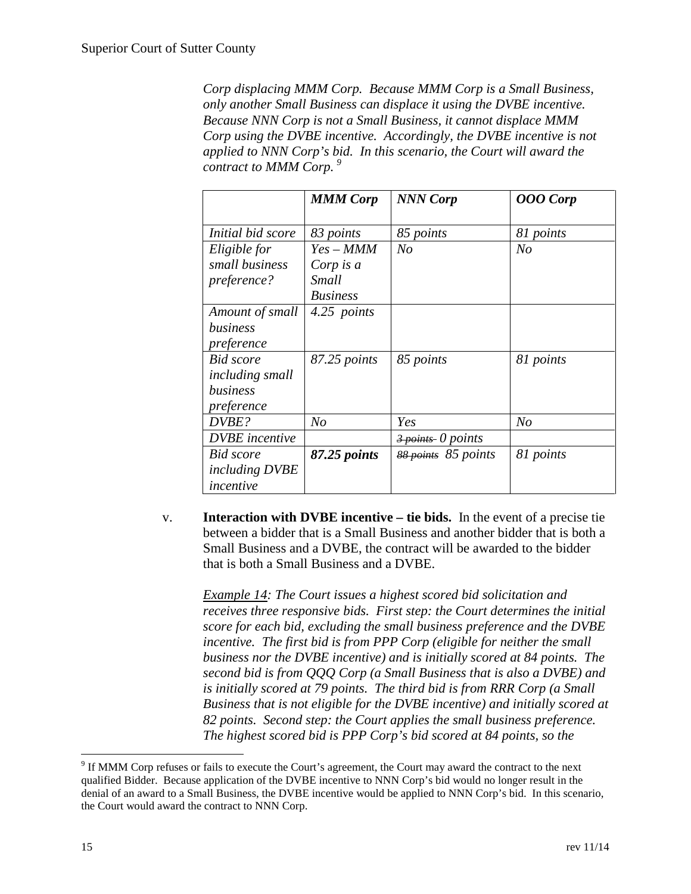*Corp displacing MMM Corp. Because MMM Corp is a Small Business, only another Small Business can displace it using the DVBE incentive. Because NNN Corp is not a Small Business, it cannot displace MMM Corp using the DVBE incentive. Accordingly, the DVBE incentive is not applied to NNN Corp's bid. In this scenario, the Court will award the contract to MMM Corp. [9](#page-14-0)*

|                                                 | <b>MMM Corp</b>                       | <b>NNN Corp</b>                              | <b>OOO</b> Corp |
|-------------------------------------------------|---------------------------------------|----------------------------------------------|-----------------|
| Initial bid score                               | 83 points                             | 85 points                                    | 81 points       |
| Eligible for                                    | $Yes-MMM$                             | N <sub>o</sub>                               | N <sub>O</sub>  |
| small business<br>preference?                   | Corp is a<br>Small<br><b>Business</b> |                                              |                 |
| Amount of small<br>business<br>preference       | 4.25 points                           |                                              |                 |
| <b>Bid</b> score<br>including small<br>business | 87.25 points                          | 85 points                                    | 81 points       |
| preference<br>DVBE?                             | N <sub>O</sub>                        | Yes                                          | N <sub>o</sub>  |
| <b>DVBE</b> incentive                           |                                       | $\frac{3 \text{ points}}{20 \text{ points}}$ |                 |
| Bid score<br><i>including DVBE</i><br>incentive | 87.25 points                          | 88 points 85 points                          | 81 points       |

v. **Interaction with DVBE incentive – tie bids.** In the event of a precise tie between a bidder that is a Small Business and another bidder that is both a Small Business and a DVBE, the contract will be awarded to the bidder that is both a Small Business and a DVBE.

*Example 14: The Court issues a highest scored bid solicitation and receives three responsive bids. First step: the Court determines the initial score for each bid, excluding the small business preference and the DVBE incentive. The first bid is from PPP Corp (eligible for neither the small business nor the DVBE incentive) and is initially scored at 84 points. The second bid is from QQQ Corp (a Small Business that is also a DVBE) and is initially scored at 79 points. The third bid is from RRR Corp (a Small Business that is not eligible for the DVBE incentive) and initially scored at 82 points. Second step: the Court applies the small business preference. The highest scored bid is PPP Corp's bid scored at 84 points, so the* 

<span id="page-14-0"></span> <sup>9</sup> If MMM Corp refuses or fails to execute the Court's agreement, the Court may award the contract to the next qualified Bidder. Because application of the DVBE incentive to NNN Corp's bid would no longer result in the denial of an award to a Small Business, the DVBE incentive would be applied to NNN Corp's bid. In this scenario, the Court would award the contract to NNN Corp.